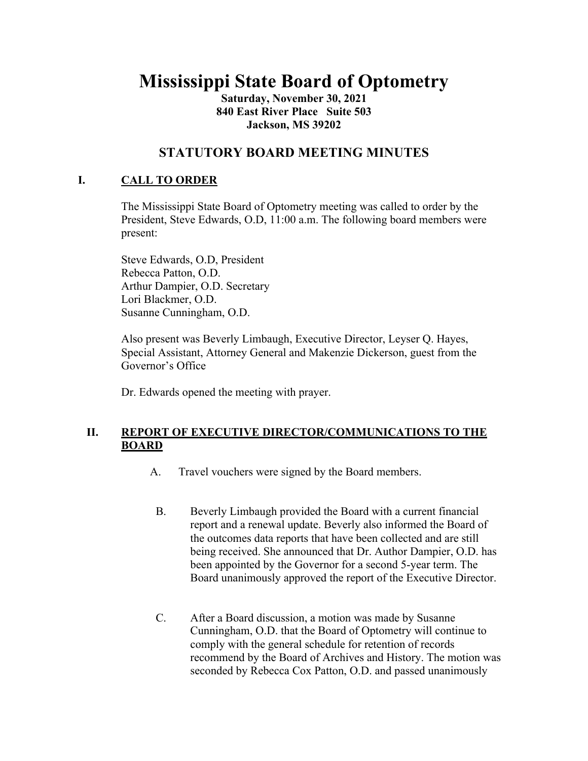# **Mississippi State Board of Optometry**

**Saturday, November 30, 2021 840 East River Place Suite 503 Jackson, MS 39202**

## **STATUTORY BOARD MEETING MINUTES**

## **I. CALL TO ORDER**

The Mississippi State Board of Optometry meeting was called to order by the President, Steve Edwards, O.D, 11:00 a.m. The following board members were present:

Steve Edwards, O.D, President Rebecca Patton, O.D. Arthur Dampier, O.D. Secretary Lori Blackmer, O.D. Susanne Cunningham, O.D.

Also present was Beverly Limbaugh, Executive Director, Leyser Q. Hayes, Special Assistant, Attorney General and Makenzie Dickerson, guest from the Governor's Office

Dr. Edwards opened the meeting with prayer.

## **II. REPORT OF EXECUTIVE DIRECTOR/COMMUNICATIONS TO THE BOARD**

- A. Travel vouchers were signed by the Board members.
	- B. Beverly Limbaugh provided the Board with a current financial report and a renewal update. Beverly also informed the Board of the outcomes data reports that have been collected and are still being received. She announced that Dr. Author Dampier, O.D. has been appointed by the Governor for a second 5-year term. The Board unanimously approved the report of the Executive Director.
	- C. After a Board discussion, a motion was made by Susanne Cunningham, O.D. that the Board of Optometry will continue to comply with the general schedule for retention of records recommend by the Board of Archives and History. The motion was seconded by Rebecca Cox Patton, O.D. and passed unanimously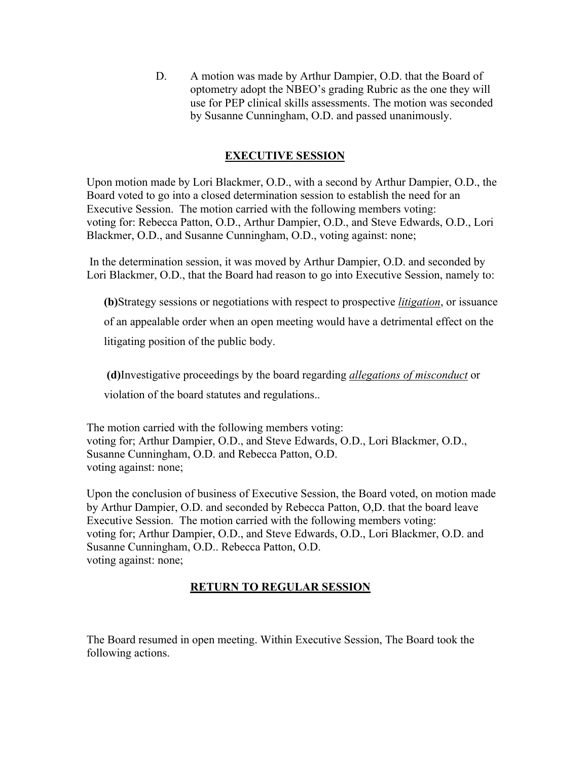D. A motion was made by Arthur Dampier, O.D. that the Board of optometry adopt the NBEO's grading Rubric as the one they will use for PEP clinical skills assessments. The motion was seconded by Susanne Cunningham, O.D. and passed unanimously.

## **EXECUTIVE SESSION**

Upon motion made by Lori Blackmer, O.D., with a second by Arthur Dampier, O.D., the Board voted to go into a closed determination session to establish the need for an Executive Session. The motion carried with the following members voting: voting for: Rebecca Patton, O.D., Arthur Dampier, O.D., and Steve Edwards, O.D., Lori Blackmer, O.D., and Susanne Cunningham, O.D., voting against: none;

In the determination session, it was moved by Arthur Dampier, O.D. and seconded by Lori Blackmer, O.D., that the Board had reason to go into Executive Session, namely to:

**(b)**Strategy sessions or negotiations with respect to prospective *litigation*, or issuance

of an appealable order when an open meeting would have a detrimental effect on the

litigating position of the public body.

**(d)**Investigative proceedings by the board regarding *allegations of misconduct* or violation of the board statutes and regulations..

The motion carried with the following members voting: voting for; Arthur Dampier, O.D., and Steve Edwards, O.D., Lori Blackmer, O.D., Susanne Cunningham, O.D. and Rebecca Patton, O.D. voting against: none;

Upon the conclusion of business of Executive Session, the Board voted, on motion made by Arthur Dampier, O.D. and seconded by Rebecca Patton, O,D. that the board leave Executive Session. The motion carried with the following members voting: voting for; Arthur Dampier, O.D., and Steve Edwards, O.D., Lori Blackmer, O.D. and Susanne Cunningham, O.D.. Rebecca Patton, O.D. voting against: none;

#### **RETURN TO REGULAR SESSION**

The Board resumed in open meeting. Within Executive Session, The Board took the following actions.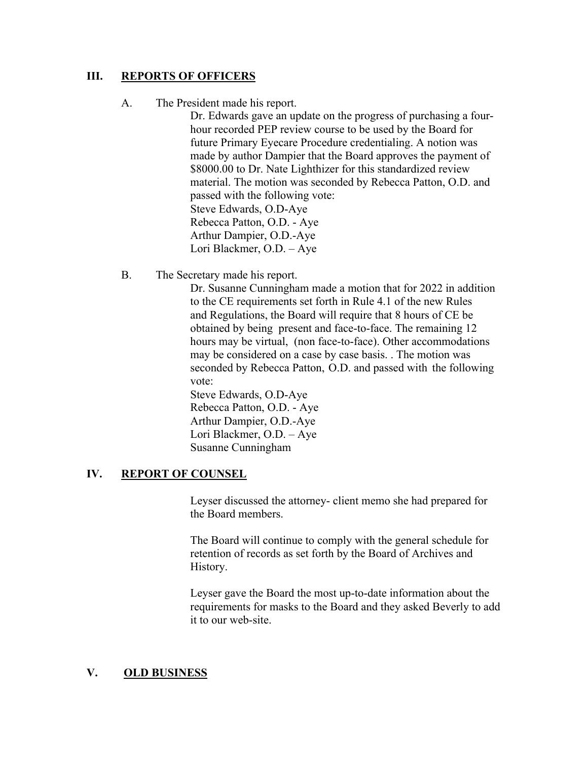#### **III. REPORTS OF OFFICERS**

#### A. The President made his report.

Dr. Edwards gave an update on the progress of purchasing a fourhour recorded PEP review course to be used by the Board for future Primary Eyecare Procedure credentialing. A notion was made by author Dampier that the Board approves the payment of \$8000.00 to Dr. Nate Lighthizer for this standardized review material. The motion was seconded by Rebecca Patton, O.D. and passed with the following vote: Steve Edwards, O.D-Aye Rebecca Patton, O.D. - Aye Arthur Dampier, O.D.-Aye Lori Blackmer, O.D. – Aye

B. The Secretary made his report.

Dr. Susanne Cunningham made a motion that for 2022 in addition to the CE requirements set forth in Rule 4.1 of the new Rules and Regulations, the Board will require that 8 hours of CE be obtained by being present and face-to-face. The remaining 12 hours may be virtual, (non face-to-face). Other accommodations may be considered on a case by case basis. . The motion was seconded by Rebecca Patton, O.D. and passed with the following vote:

Steve Edwards, O.D-Aye Rebecca Patton, O.D. - Aye Arthur Dampier, O.D.-Aye Lori Blackmer, O.D. – Aye Susanne Cunningham

#### **IV. REPORT OF COUNSEL**

Leyser discussed the attorney- client memo she had prepared for the Board members.

The Board will continue to comply with the general schedule for retention of records as set forth by the Board of Archives and History.

Leyser gave the Board the most up-to-date information about the requirements for masks to the Board and they asked Beverly to add it to our web-site.

#### **V. OLD BUSINESS**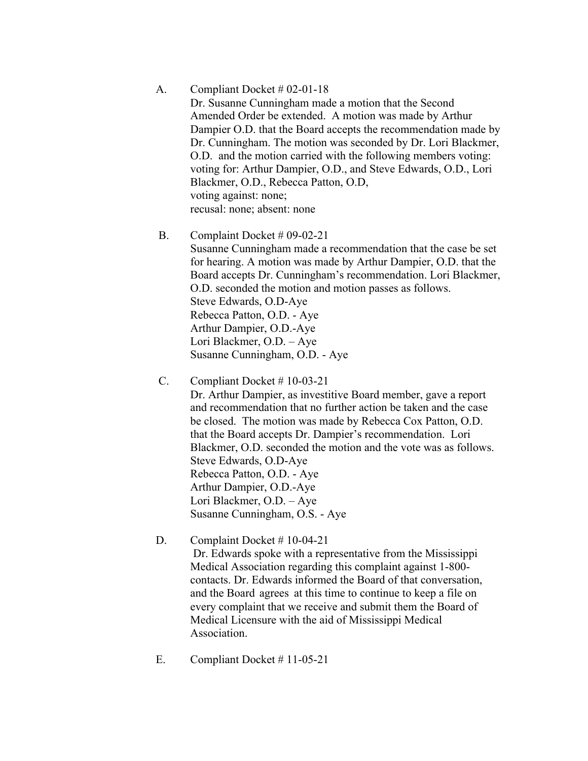#### A. Compliant Docket # 02-01-18

Dr. Susanne Cunningham made a motion that the Second Amended Order be extended. A motion was made by Arthur Dampier O.D. that the Board accepts the recommendation made by Dr. Cunningham. The motion was seconded by Dr. Lori Blackmer, O.D. and the motion carried with the following members voting: voting for: Arthur Dampier, O.D., and Steve Edwards, O.D., Lori Blackmer, O.D., Rebecca Patton, O.D, voting against: none; recusal: none; absent: none

#### B. Complaint Docket # 09-02-21

Susanne Cunningham made a recommendation that the case be set for hearing. A motion was made by Arthur Dampier, O.D. that the Board accepts Dr. Cunningham's recommendation. Lori Blackmer, O.D. seconded the motion and motion passes as follows. Steve Edwards, O.D-Aye Rebecca Patton, O.D. - Aye Arthur Dampier, O.D.-Aye Lori Blackmer, O.D. – Aye Susanne Cunningham, O.D. - Aye

#### C. Compliant Docket # 10-03-21

Dr. Arthur Dampier, as investitive Board member, gave a report and recommendation that no further action be taken and the case be closed. The motion was made by Rebecca Cox Patton, O.D. that the Board accepts Dr. Dampier's recommendation. Lori Blackmer, O.D. seconded the motion and the vote was as follows. Steve Edwards, O.D-Aye Rebecca Patton, O.D. - Aye Arthur Dampier, O.D.-Aye Lori Blackmer, O.D. – Aye Susanne Cunningham, O.S. - Aye

#### D. Complaint Docket # 10-04-21

 Dr. Edwards spoke with a representative from the Mississippi Medical Association regarding this complaint against 1-800 contacts. Dr. Edwards informed the Board of that conversation, and the Board agrees at this time to continue to keep a file on every complaint that we receive and submit them the Board of Medical Licensure with the aid of Mississippi Medical Association.

E. Compliant Docket # 11-05-21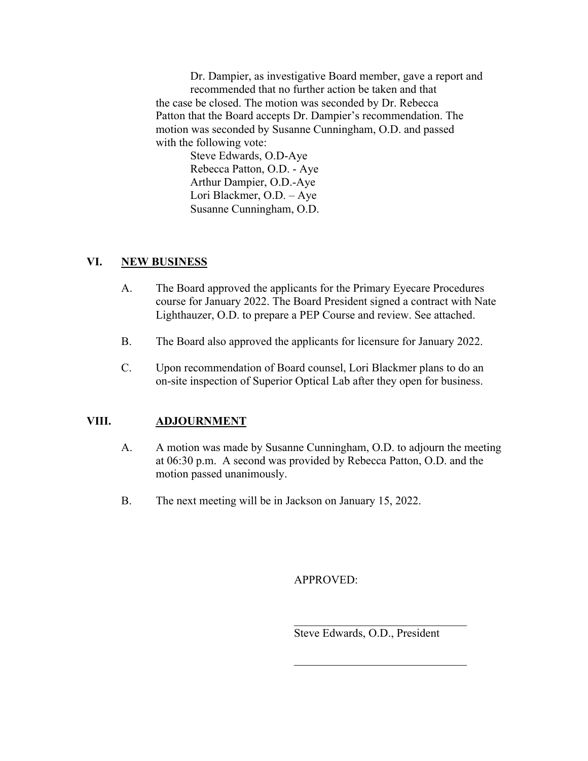Dr. Dampier, as investigative Board member, gave a report and recommended that no further action be taken and that the case be closed. The motion was seconded by Dr. Rebecca Patton that the Board accepts Dr. Dampier's recommendation. The motion was seconded by Susanne Cunningham, O.D. and passed with the following vote:

Steve Edwards, O.D-Aye Rebecca Patton, O.D. - Aye Arthur Dampier, O.D.-Aye Lori Blackmer, O.D. – Aye Susanne Cunningham, O.D.

#### **VI. NEW BUSINESS**

- A. The Board approved the applicants for the Primary Eyecare Procedures course for January 2022. The Board President signed a contract with Nate Lighthauzer, O.D. to prepare a PEP Course and review. See attached.
- B. The Board also approved the applicants for licensure for January 2022.
- C. Upon recommendation of Board counsel, Lori Blackmer plans to do an on-site inspection of Superior Optical Lab after they open for business.

## **VIII. ADJOURNMENT**

- A. A motion was made by Susanne Cunningham, O.D. to adjourn the meeting at 06:30 p.m. A second was provided by Rebecca Patton, O.D. and the motion passed unanimously.
- B. The next meeting will be in Jackson on January 15, 2022.

APPROVED:

Steve Edwards, O.D., President